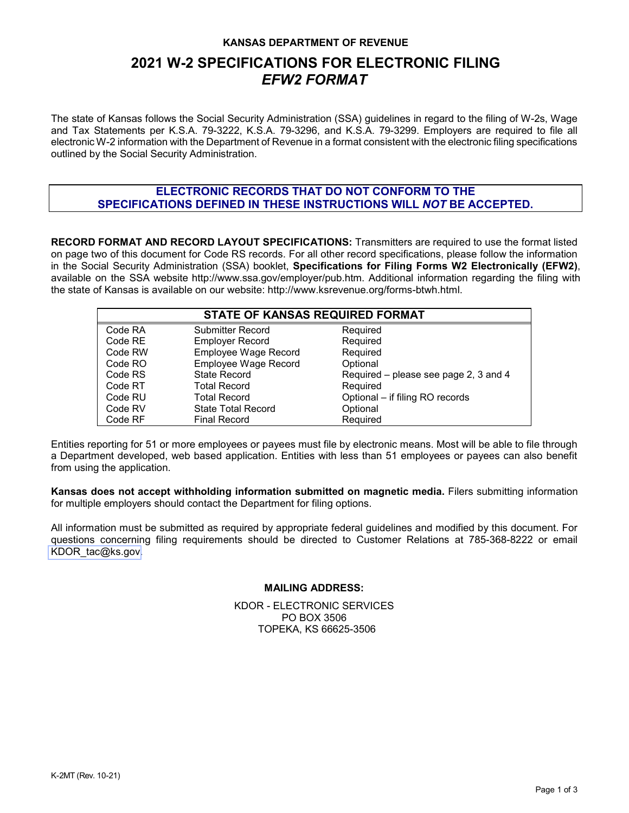#### **KANSAS DEPARTMENT OF REVENUE**

# **2021 W-2 SPECIFICATIONS FOR ELECTRONIC FILING** *EFW2 FORMAT*

The state of Kansas follows the Social Security Administration (SSA) guidelines in regard to the filing of W-2s, Wage and Tax Statements per K.S.A. 79-3222, K.S.A. 79-3296, and K.S.A. 79-3299. Employers are required to file all electronic W-2 information with the Department of Revenue in a format consistent with the electronic filing specifications outlined by the Social Security Administration.

### **ELECTRONIC RECORDS THAT DO NOT CONFORM TO THE SPECIFICATIONS DEFINED IN THESE INSTRUCTIONS WILL** *NOT* **BE ACCEPTED.**

**RECORD FORMAT AND RECORD LAYOUT SPECIFICATIONS:** Transmitters are required to use the format listed on page two of this document for Code RS records. For all other record specifications, please follow the information in the Social Security Administration (SSA) booklet, **Specifications for Filing Forms W2 Electronically (EFW2)**, available on the SSA websit[e http://www.ssa.gov/employer/pub.htm.](http://www.ssa.gov/employer/pub.htm) Additional information regarding the filing with the state of Kansas is available on our website: [http://www.ksrevenue.org/forms-btwh.html.](http://www.ksrevenue.org/forms-btwh.html)

| <b>STATE OF KANSAS REQUIRED FORMAT</b> |                           |                                       |  |  |  |
|----------------------------------------|---------------------------|---------------------------------------|--|--|--|
| Code RA                                | <b>Submitter Record</b>   | Required                              |  |  |  |
| Code RE                                | <b>Employer Record</b>    | Required                              |  |  |  |
| Code RW                                | Employee Wage Record      | Required                              |  |  |  |
| Code RO                                | Employee Wage Record      | Optional                              |  |  |  |
| Code RS                                | <b>State Record</b>       | Required – please see page 2, 3 and 4 |  |  |  |
| Code RT                                | Total Record              | Required                              |  |  |  |
| Code RU                                | Total Record              | Optional - if filing RO records       |  |  |  |
| Code RV                                | <b>State Total Record</b> | Optional                              |  |  |  |
| Code RF                                | <b>Final Record</b>       | Required                              |  |  |  |

Entities reporting for 51 or more employees or payees must file by electronic means. Most will be able to file through a Department developed, web based application. Entities with less than 51 employees or payees can also benefit from using the application.

**Kansas does not accept withholding information submitted on magnetic media.** Filers submitting information for multiple employers should contact the Department for filing options.

All information must be submitted as required by appropriate federal guidelines and modified by this document. For questions concerning filing requirements should be directed to Customer Relations at 785-368-8222 or email [KDOR\\_tac@ks.gov.](mailto:kdor_TAC@ks.gov)

#### **MAILING ADDRESS:**

KDOR - ELECTRONIC SERVICES PO BOX 3506 TOPEKA, KS 66625-3506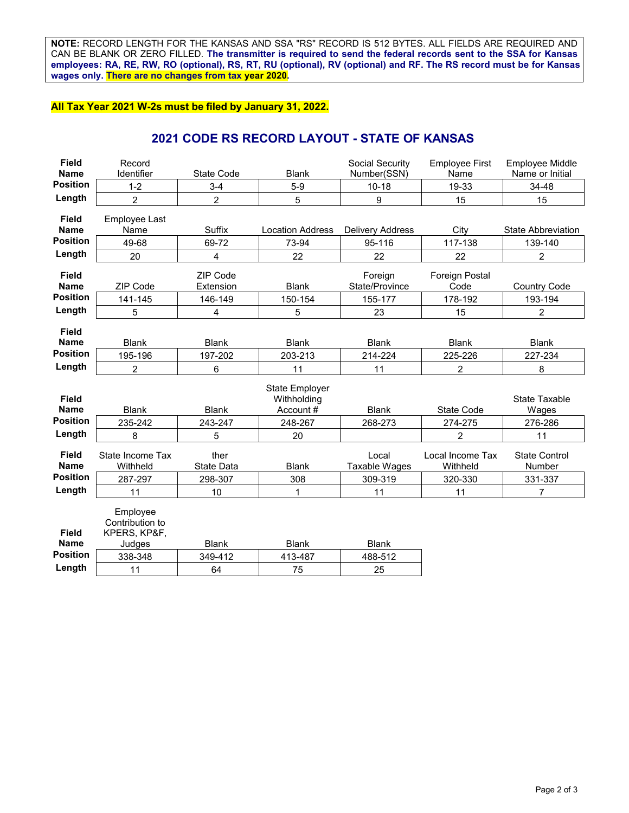**NOTE:** RECORD LENGTH FOR THE KANSAS AND SSA "RS" RECORD IS 512 BYTES. ALL FIELDS ARE REQUIRED AND CAN BE BLANK OR ZERO FILLED. **The transmitter is required to send the federal records sent to the SSA for Kansas employees: RA, RE, RW, RO (optional), RS, RT, RU (optional), RV (optional) and RF. The RS record must be for Kansas wages only. There are no changes from tax year 2020.**

#### **All Tax Year 2021 W-2s must be filed by January 31, 2022.**

### **2021 CODE RS RECORD LAYOUT - STATE OF KANSAS**

| <b>Field</b>                | Record                                      |                    |                         | Social Security         | <b>Employee First</b>        | <b>Employee Middle</b>         |
|-----------------------------|---------------------------------------------|--------------------|-------------------------|-------------------------|------------------------------|--------------------------------|
| <b>Name</b>                 | Identifier                                  | <b>State Code</b>  | <b>Blank</b>            | Number(SSN)             | Name                         | Name or Initial                |
| <b>Position</b>             | $1 - 2$                                     | $3-4$              | $5-9$                   | $10 - 18$               | 19-33                        | 34-48                          |
| Length                      | $\overline{c}$                              | $\overline{2}$     | 5                       | 9                       | 15                           | 15                             |
| <b>Field</b>                | Employee Last                               |                    |                         |                         |                              |                                |
| <b>Name</b>                 | Name                                        | Suffix             | <b>Location Address</b> | <b>Delivery Address</b> | City                         | <b>State Abbreviation</b>      |
| <b>Position</b>             | 49-68                                       | 69-72              | 73-94                   | 95-116                  | 117-138                      | 139-140                        |
| Length                      | 20                                          | 4                  | 22                      | 22                      | 22                           | 2                              |
| <b>Field</b><br><b>Name</b> |                                             | ZIP Code           |                         | Foreign                 | Foreign Postal               |                                |
| <b>Position</b>             | <b>ZIP Code</b>                             | Extension          | <b>Blank</b>            | State/Province          | Code                         | <b>Country Code</b>            |
|                             | 141-145                                     | 146-149            | 150-154                 | 155-177                 | 178-192                      | 193-194                        |
| Length                      | 5                                           | 4                  | 5                       | 23                      | 15                           | 2                              |
| <b>Field</b>                |                                             |                    |                         |                         |                              |                                |
| <b>Name</b>                 | <b>Blank</b>                                | <b>Blank</b>       | <b>Blank</b>            | <b>Blank</b>            | <b>Blank</b>                 | <b>Blank</b>                   |
| <b>Position</b>             | 195-196                                     | 197-202            | 203-213                 | 214-224                 | 225-226                      | 227-234                        |
| Length                      | 2                                           | 6                  | 11                      | 11                      | 2                            | 8                              |
|                             |                                             |                    | <b>State Employer</b>   |                         |                              |                                |
| <b>Field</b>                |                                             |                    | Withholding             |                         |                              | State Taxable                  |
| <b>Name</b>                 | <b>Blank</b>                                | <b>Blank</b>       | Account#                | <b>Blank</b>            | State Code                   | Wages                          |
| <b>Position</b>             | 235-242                                     | 243-247            | 248-267                 | 268-273                 | 274-275                      | 276-286                        |
| Length                      | 8                                           | 5                  | 20                      |                         | $\overline{2}$               | 11                             |
| <b>Field</b><br><b>Name</b> | State Income Tax<br>Withheld                | ther<br>State Data | <b>Blank</b>            | Local<br>Taxable Wages  | Local Income Tax<br>Withheld | <b>State Control</b><br>Number |
| <b>Position</b>             | 287-297                                     | 298-307            | 308                     | 309-319                 | 320-330                      | 331-337                        |
| Length                      | 11                                          | 10                 | 1                       | 11                      | 11                           | 7                              |
| <b>Field</b>                | Employee<br>Contribution to<br>KPERS, KP&F, |                    |                         |                         |                              |                                |
| <b>Name</b>                 | Judges                                      | <b>Blank</b>       | <b>Blank</b>            | <b>Blank</b>            |                              |                                |
| <b>Position</b>             | 338-348                                     | 349-412            | 413-487                 | 488-512                 |                              |                                |
| Length                      | 11                                          | 64                 | 75                      | 25                      |                              |                                |